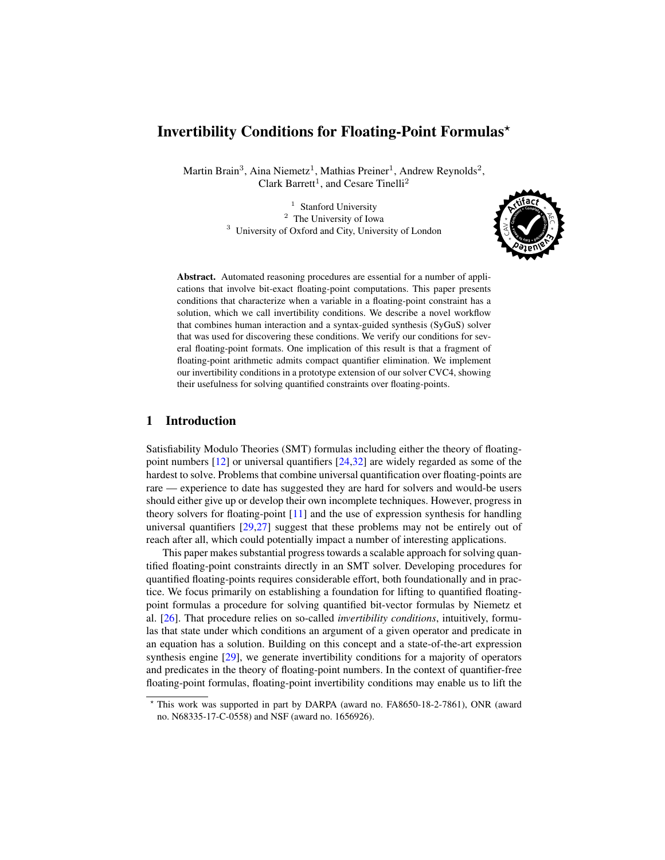# Invertibility Conditions for Floating-Point Formulas?

Martin Brain<sup>3</sup>, Aina Niemetz<sup>1</sup>, Mathias Preiner<sup>1</sup>, Andrew Reynolds<sup>2</sup>, Clark Barrett<sup>1</sup>, and Cesare Tinelli<sup>2</sup>

> <sup>1</sup> Stanford University <sup>2</sup> The University of Iowa <sup>3</sup> University of Oxford and City, University of London



Abstract. Automated reasoning procedures are essential for a number of applications that involve bit-exact floating-point computations. This paper presents conditions that characterize when a variable in a floating-point constraint has a solution, which we call invertibility conditions. We describe a novel workflow that combines human interaction and a syntax-guided synthesis (SyGuS) solver that was used for discovering these conditions. We verify our conditions for several floating-point formats. One implication of this result is that a fragment of floating-point arithmetic admits compact quantifier elimination. We implement our invertibility conditions in a prototype extension of our solver CVC4, showing their usefulness for solving quantified constraints over floating-points.

# 1 Introduction

Satisfiability Modulo Theories (SMT) formulas including either the theory of floatingpoint numbers [\[12\]](#page-16-0) or universal quantifiers [\[24,](#page-17-0)[32\]](#page-17-1) are widely regarded as some of the hardest to solve. Problems that combine universal quantification over floating-points are rare — experience to date has suggested they are hard for solvers and would-be users should either give up or develop their own incomplete techniques. However, progress in theory solvers for floating-point [\[11\]](#page-16-1) and the use of expression synthesis for handling universal quantifiers [\[29](#page-17-2)[,27\]](#page-17-3) suggest that these problems may not be entirely out of reach after all, which could potentially impact a number of interesting applications.

This paper makes substantial progress towards a scalable approach for solving quantified floating-point constraints directly in an SMT solver. Developing procedures for quantified floating-points requires considerable effort, both foundationally and in practice. We focus primarily on establishing a foundation for lifting to quantified floatingpoint formulas a procedure for solving quantified bit-vector formulas by Niemetz et al. [\[26\]](#page-17-4). That procedure relies on so-called *invertibility conditions*, intuitively, formulas that state under which conditions an argument of a given operator and predicate in an equation has a solution. Building on this concept and a state-of-the-art expression synthesis engine [\[29\]](#page-17-2), we generate invertibility conditions for a majority of operators and predicates in the theory of floating-point numbers. In the context of quantifier-free floating-point formulas, floating-point invertibility conditions may enable us to lift the

<sup>?</sup> This work was supported in part by DARPA (award no. FA8650-18-2-7861), ONR (award no. N68335-17-C-0558) and NSF (award no. 1656926).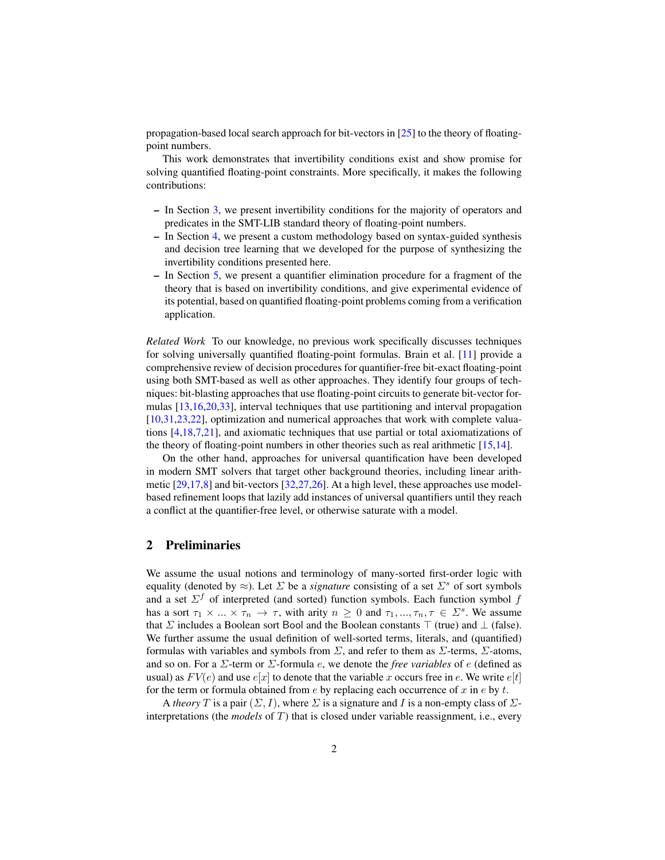propagation-based local search approach for bit-vectors in  $[25]$  to the theory of floatingpoint numbers.

This work demonstrates that invertibility conditions exist and show promise for solving quantified floating-point constraints. More specifically, it makes the following contributions:

- In Section [3,](#page-2-0) we present invertibility conditions for the majority of operators and predicates in the SMT-LIB standard theory of floating-point numbers.
- In Section [4,](#page-8-0) we present a custom methodology based on syntax-guided synthesis and decision tree learning that we developed for the purpose of synthesizing the invertibility conditions presented here.
- In Section [5,](#page-13-0) we present a quantifier elimination procedure for a fragment of the theory that is based on invertibility conditions, and give experimental evidence of its potential, based on quantified floating-point problems coming from a verification application.

*Related Work* To our knowledge, no previous work specifically discusses techniques for solving universally quantified floating-point formulas. Brain et al. [\[11\]](#page-16-1) provide a comprehensive review of decision procedures for quantifier-free bit-exact floating-point using both SMT-based as well as other approaches. They identify four groups of techniques: bit-blasting approaches that use floating-point circuits to generate bit-vector formulas [\[13,](#page-16-2)[16,](#page-16-3)[20,](#page-17-6)[33\]](#page-17-7), interval techniques that use partitioning and interval propagation [\[10,](#page-16-4)[31](#page-17-8)[,23](#page-17-9)[,22\]](#page-17-10), optimization and numerical approaches that work with complete valuations [\[4](#page-16-5)[,18](#page-17-11)[,7](#page-16-6)[,21\]](#page-17-12), and axiomatic techniques that use partial or total axiomatizations of the theory of floating-point numbers in other theories such as real arithmetic  $[15,14]$  $[15,14]$ .

On the other hand, approaches for universal quantification have been developed in modern SMT solvers that target other background theories, including linear arithmetic [\[29](#page-17-2)[,17](#page-16-9)[,8\]](#page-16-10) and bit-vectors [\[32,](#page-17-1)[27,](#page-17-3)[26\]](#page-17-4). At a high level, these approaches use modelbased refinement loops that lazily add instances of universal quantifiers until they reach a conflict at the quantifier-free level, or otherwise saturate with a model.

# 2 Preliminaries

We assume the usual notions and terminology of many-sorted first-order logic with equality (denoted by  $\approx$ ). Let  $\Sigma$  be a *signature* consisting of a set  $\Sigma^s$  of sort symbols and a set  $\Sigma^f$  of interpreted (and sorted) function symbols. Each function symbol f has a sort  $\tau_1 \times ... \times \tau_n \to \tau$ , with arity  $n \geq 0$  and  $\tau_1, ..., \tau_n, \tau \in \Sigma^s$ . We assume that  $\Sigma$  includes a Boolean sort Bool and the Boolean constants  $\top$  (true) and  $\bot$  (false). We further assume the usual definition of well-sorted terms, literals, and (quantified) formulas with variables and symbols from  $\Sigma$ , and refer to them as  $\Sigma$ -terms,  $\Sigma$ -atoms, and so on. For a Σ-term or Σ-formula e, we denote the *free variables* of e (defined as usual) as  $FV(e)$  and use  $e[x]$  to denote that the variable x occurs free in e. We write  $e[t]$ for the term or formula obtained from e by replacing each occurrence of x in e by t.

A *theory* T is a pair  $(\Sigma, I)$ , where  $\Sigma$  is a signature and I is a non-empty class of  $\Sigma$ interpretations (the *models* of T) that is closed under variable reassignment, i.e., every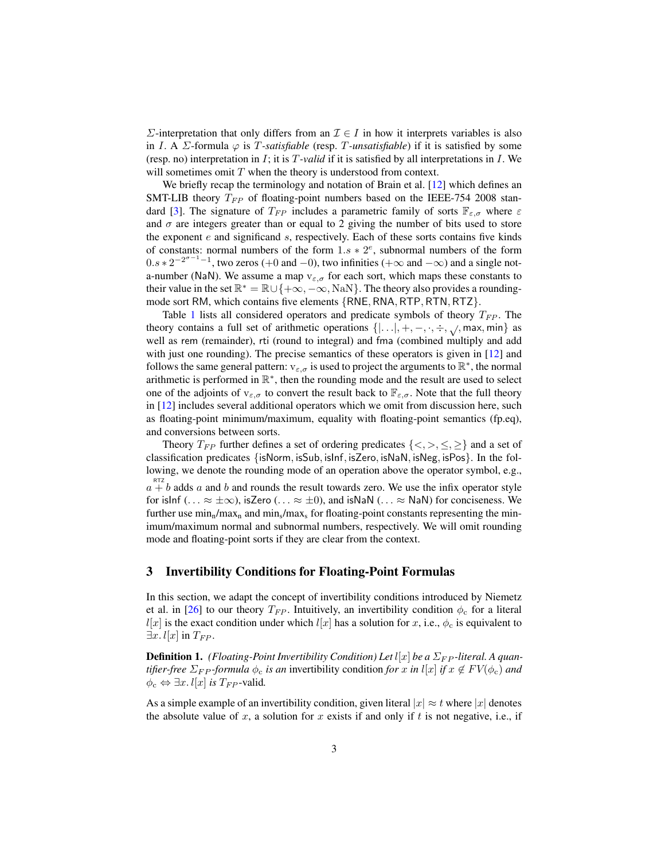$\Sigma$ -interpretation that only differs from an  $\mathcal{I} \in I$  in how it interprets variables is also in I. A  $\Sigma$ -formula  $\varphi$  is T-*satisfiable* (resp. T-*unsatisfiable*) if it is satisfied by some (resp. no) interpretation in I; it is T*-valid* if it is satisfied by all interpretations in I. We will sometimes omit  $T$  when the theory is understood from context.

We briefly recap the terminology and notation of Brain et al. [\[12\]](#page-16-0) which defines an SMT-LIB theory  $T_{FP}$  of floating-point numbers based on the IEEE-754 2008 stan-dard [\[3\]](#page-16-11). The signature of  $T_{FP}$  includes a parametric family of sorts  $\mathbb{F}_{\epsilon,\sigma}$  where  $\epsilon$ and  $\sigma$  are integers greater than or equal to 2 giving the number of bits used to store the exponent  $e$  and significand  $s$ , respectively. Each of these sorts contains five kinds of constants: normal numbers of the form  $1.s * 2<sup>e</sup>$ , subnormal numbers of the form  $0. s * 2^{-2^{\sigma-1}-1}$ , two zeros (+0 and -0), two infinities (+ $\infty$  and - $\infty$ ) and a single nota-number (NaN). We assume a map  $v_{\varepsilon,\sigma}$  for each sort, which maps these constants to their value in the set  $\mathbb{R}^* = \mathbb{R} \cup \{ +\infty, -\infty, \text{NaN} \}$ . The theory also provides a roundingmode sort RM, which contains five elements {RNE, RNA, RTP, RTN, RTZ}.

Table [1](#page-3-0) lists all considered operators and predicate symbols of theory  $T_{FP}$ . The theory contains a full set of arithmetic operations  $\{(\ldots, +, -, \cdot, \div, \sqrt{\lambda})$  max, min $\}$  as well as rem (remainder), rti (round to integral) and fma (combined multiply and add with just one rounding). The precise semantics of these operators is given in [\[12\]](#page-16-0) and follows the same general pattern:  $v_{\varepsilon,\sigma}$  is used to project the arguments to  $\mathbb{R}^*$ , the normal arithmetic is performed in  $\mathbb{R}^*$ , then the rounding mode and the result are used to select one of the adjoints of  $v_{\varepsilon,\sigma}$  to convert the result back to  $\mathbb{F}_{\varepsilon,\sigma}$ . Note that the full theory in [\[12\]](#page-16-0) includes several additional operators which we omit from discussion here, such as floating-point minimum/maximum, equality with floating-point semantics (fp.eq), and conversions between sorts.

Theory  $T_{FP}$  further defines a set of ordering predicates  $\{<,>,\leq,\geq\}$  and a set of classification predicates {isNorm, isSub, isInf, isZero, isNaN, isNeg, isPos}. In the following, we denote the rounding mode of an operation above the operator symbol, e.g.,  $a + b$  adds a and b and rounds the result towards zero. We use the infix operator style for islnf (...  $\approx \pm \infty$ ), isZero (...  $\approx \pm 0$ ), and isNaN (...  $\approx$  NaN) for conciseness. We further use  $\min_{n}/\max_{n}$  and  $\min_{s}/\max_{s}$  for floating-point constants representing the minimum/maximum normal and subnormal numbers, respectively. We will omit rounding mode and floating-point sorts if they are clear from the context.

### <span id="page-2-0"></span>3 Invertibility Conditions for Floating-Point Formulas

In this section, we adapt the concept of invertibility conditions introduced by Niemetz et al. in [\[26\]](#page-17-4) to our theory  $T_{FP}$ . Intuitively, an invertibility condition  $\phi_c$  for a literal  $l[x]$  is the exact condition under which  $l[x]$  has a solution for x, i.e.,  $\phi_c$  is equivalent to  $\exists x. l[x]$  in  $T_{FP}$ .

**Definition 1.** *(Floating-Point Invertibility Condition) Let*  $l[x]$  *be a*  $\Sigma_{FP}$ -literal. A quan*tifier-free*  $\Sigma_{FP}$ *-formula*  $\phi_c$  *is an* invertibility condition *for* x *in*  $l[x]$  *if*  $x \notin FV(\phi_c)$  *and*  $\phi_c \Leftrightarrow \exists x. l[x]$  *is*  $T_{FP}$ -valid.

As a simple example of an invertibility condition, given literal  $|x| \approx t$  where  $|x|$  denotes the absolute value of x, a solution for x exists if and only if t is not negative, i.e., if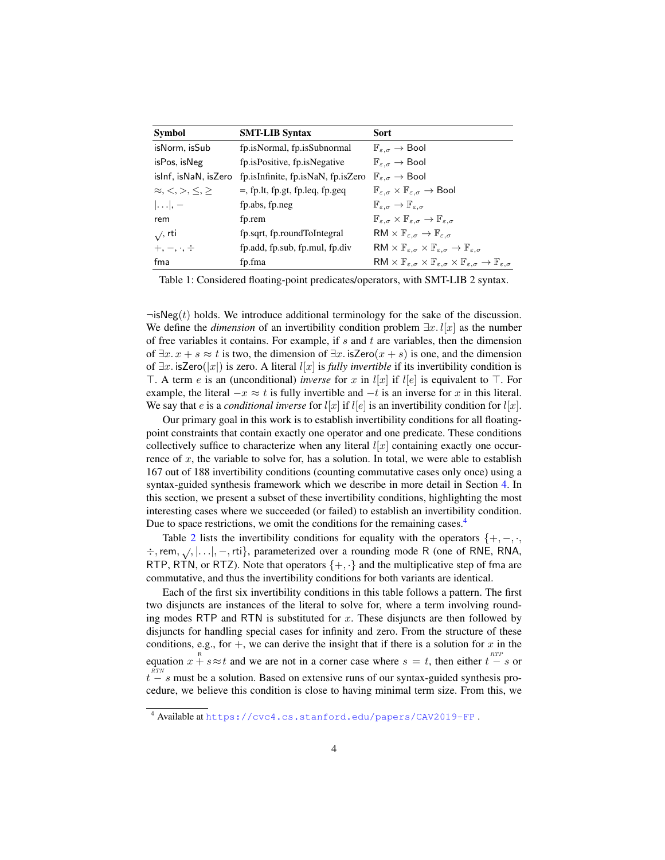<span id="page-3-0"></span>

| <b>Symbol</b>                             | <b>SMT-LIB Syntax</b>              | <b>Sort</b>                                                                                                                                                   |
|-------------------------------------------|------------------------------------|---------------------------------------------------------------------------------------------------------------------------------------------------------------|
| isNorm, isSub                             | fp.isNormal, fp.isSubnormal        | $\mathbb{F}_{\varepsilon,\sigma}\to$ Bool                                                                                                                     |
| isPos, isNeg                              | fp.isPositive, fp.isNegative       | $\mathbb{F}_{\varepsilon,\sigma}\to$ Bool                                                                                                                     |
| isInf, isNaN, isZero                      | fp.isInfinite, fp.isNaN, fp.isZero | $\mathbb{F}_{\varepsilon,\sigma}\to$ Bool                                                                                                                     |
| $\approx$ , $\lt$ , $\gt$ , $\lt$ , $\gt$ | $=$ , fp.lt, fp.gt, fp.leq, fp.geq | $\mathbb{F}_{\varepsilon,\sigma}\times\mathbb{F}_{\varepsilon,\sigma}\to\mathsf{Bool}$                                                                        |
| $ \ldots , -$                             | fp.abs, fp.neg                     | $\mathbb{F}_{\varepsilon,\sigma}\to\mathbb{F}_{\varepsilon,\sigma}$                                                                                           |
| rem                                       | fp.rem                             | $\mathbb{F}_{\varepsilon,\sigma}\times\mathbb{F}_{\varepsilon,\sigma}\to\mathbb{F}_{\varepsilon,\sigma}$                                                      |
| $\sqrt{ }$ , rti                          | fp.sqrt, fp.roundToIntegral        | $RM \times \mathbb{F}_{\varepsilon,\sigma} \to \mathbb{F}_{\varepsilon,\sigma}$                                                                               |
| $+,-, \cdot, \div$                        | fp.add, fp.sub, fp.mul, fp.div     | $RM \times \mathbb{F}_{\varepsilon,\sigma} \times \mathbb{F}_{\varepsilon,\sigma} \to \mathbb{F}_{\varepsilon,\sigma}$                                        |
| fma                                       | fp.fma                             | $RM \times \mathbb{F}_{\varepsilon,\sigma} \times \mathbb{F}_{\varepsilon,\sigma} \times \mathbb{F}_{\varepsilon,\sigma} \to \mathbb{F}_{\varepsilon,\sigma}$ |

Table 1: Considered floating-point predicates/operators, with SMT-LIB 2 syntax.

 $\neg$ isNeg(t) holds. We introduce additional terminology for the sake of the discussion. We define the *dimension* of an invertibility condition problem  $\exists x \cdot l[x]$  as the number of free variables it contains. For example, if  $s$  and  $t$  are variables, then the dimension of  $\exists x \cdot x + s \approx t$  is two, the dimension of  $\exists x \cdot s$  is zero $(x + s)$  is one, and the dimension of ∃x. isZero(|x|) is zero. A literal l[x] is *fully invertible* if its invertibility condition is  $\top$ . A term *e* is an (unconditional) *inverse* for x in  $l[x]$  if  $l[e]$  is equivalent to  $\top$ . For example, the literal  $-x \approx t$  is fully invertible and  $-t$  is an inverse for x in this literal. We say that *e* is a *conditional inverse* for  $l[x]$  if  $l[e]$  is an invertibility condition for  $l[x]$ .

Our primary goal in this work is to establish invertibility conditions for all floatingpoint constraints that contain exactly one operator and one predicate. These conditions collectively suffice to characterize when any literal  $l[x]$  containing exactly one occurrence of  $x$ , the variable to solve for, has a solution. In total, we were able to establish 167 out of 188 invertibility conditions (counting commutative cases only once) using a syntax-guided synthesis framework which we describe in more detail in Section [4.](#page-8-0) In this section, we present a subset of these invertibility conditions, highlighting the most interesting cases where we succeeded (or failed) to establish an invertibility condition. Due to space restrictions, we omit the conditions for the remaining cases.<sup>[4](#page-3-1)</sup>

Table [2](#page-4-0) lists the invertibility conditions for equality with the operators  $\{+,-,\cdot,\cdot,\cdot\}$  $\div$ , rem,  $\sqrt{$ , |...|, −, rti}, parameterized over a rounding mode R (one of RNE, RNA, RTP, RTN, or RTZ). Note that operators  $\{+, \cdot\}$  and the multiplicative step of fma are commutative, and thus the invertibility conditions for both variants are identical.

Each of the first six invertibility conditions in this table follows a pattern. The first two disjuncts are instances of the literal to solve for, where a term involving rounding modes RTP and RTN is substituted for  $x$ . These disjuncts are then followed by disjuncts for handling special cases for infinity and zero. From the structure of these conditions, e.g., for  $+$ , we can derive the insight that if there is a solution for x in the equation  $x + s \approx t$  and we are not in a corner case where  $s = t$ , then either  $t - s$  or  $t^{\text{RTN}}$  s must be a solution. Based on extensive runs of our syntax-guided synthesis procedure, we believe this condition is close to having minimal term size. From this, we

<span id="page-3-1"></span><sup>4</sup> Available at <https://cvc4.cs.stanford.edu/papers/CAV2019-FP> .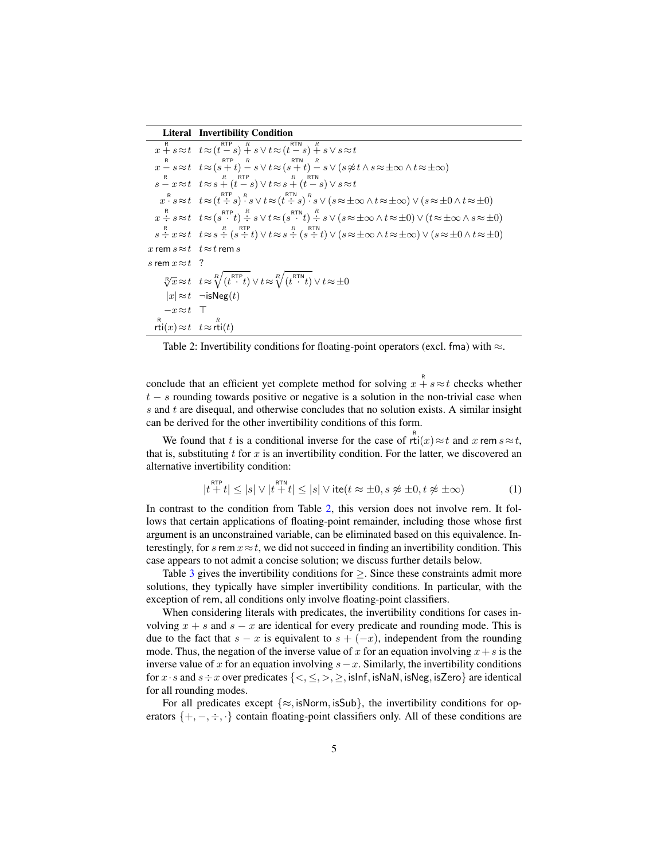### <span id="page-4-0"></span>Literal Invertibility Condition

 $x + s \approx t \quad t \approx (t-s) + s \vee t \approx (t-s) + s \vee s \approx t$  $x\overset{\mathsf{R}}{-} s\approx t \quad t\approx (s+t)\overset{\mathsf{RTP}}{-} s\lor t\approx (s+t)\overset{\mathsf{RTN}}{-} s\lor (s\!\not\approx\! t \land s\!\approx\!\pm\infty \land t\!\approx\!\pm\infty)$  $s - x \approx t \quad t \approx s + (t-s) \vee t \approx s + (t-s) \vee s \approx t$  $x \overset{\text{R}}{\sim} s \approx t \quad t \approx (t \overset{\text{RTP}}{\leftarrow} s) \overset{\text{R}}{\cdot} s \vee t \approx (t \overset{\text{RTN}}{\leftarrow} s) \overset{\text{R}}{\cdot} s \vee (s \approx \pm \infty \land t \approx \pm \infty) \vee (s \approx \pm 0 \land t \approx \pm 0)$  $x\overset{\text{\tiny{\textsf{R}}}}{\text{\tiny{\textsf{-}}}s} \approx t \quad t\approx (s^{\text{\tiny{\textsf{RTP}}}}t) \overset{\text{\tiny{\textsf{R}}}}{\text{\tiny{\textsf{-}}}}s \lor t\approx (s^{\text{\tiny{\textsf{RTR}}}}t) \overset{\text{\tiny{\textsf{R}}}}{\text{\tiny{\textsf{-}}}}s \lor (s\approx\pm\infty \land t\approx\pm0) \lor (t\approx\pm\infty \land s\approx\pm0)$  $s\stackrel{\mathsf{R}}{\div} x\approx t \;\; t\approx s\stackrel{\mathsf{R}}{\div}(s\stackrel{\mathsf{RTP}}{\div}t) \vee t\approx s\stackrel{\mathsf{R}}{\div}(s\stackrel{\mathsf{RTN}}{\div}t) \vee (s\approx\pm\infty\wedge t\approx\pm\infty) \vee (s\approx\pm 0\wedge t\approx\pm 0)$ x rem  $s \approx t \quad t \approx t$  rem s s rem  $x \approx t$  ?  $\sqrt[R]{x} \approx t \quad t \approx \sqrt[R]{\left(t^{\text{RTP}}t\right)} \vee t \approx \sqrt[R]{\left(t^{\text{RTN}}t\right)} \vee t \approx \pm 0$  $|x| \approx t$   $\neg$ isNeg(t)  $-x \approx t$  T  $r \text{tri}(x) \approx t \quad t \approx r \text{tri}(t)$ 

Table 2: Invertibility conditions for floating-point operators (excl. fma) with  $\approx$ .

conclude that an efficient yet complete method for solving  $x \overset{R}{\cdot} s \approx t$  checks whether  $t - s$  rounding towards positive or negative is a solution in the non-trivial case when s and t are disequal, and otherwise concludes that no solution exists. A similar insight can be derived for the other invertibility conditions of this form.

We found that t is a conditional inverse for the case of  $\text{rti}(x) \approx t$  and x rem  $s \approx t$ , that is, substituting  $t$  for  $x$  is an invertibility condition. For the latter, we discovered an alternative invertibility condition:

<span id="page-4-1"></span>
$$
|t + t| \le |s| \lor |t + t| \le |s| \lor \text{ite}(t \approx \pm 0, s \not\approx \pm 0, t \not\approx \pm \infty)
$$
 (1)

In contrast to the condition from Table [2,](#page-4-0) this version does not involve rem. It follows that certain applications of floating-point remainder, including those whose first argument is an unconstrained variable, can be eliminated based on this equivalence. Interestingly, for s rem  $x \approx t$ , we did not succeed in finding an invertibility condition. This case appears to not admit a concise solution; we discuss further details below.

Table [3](#page-5-0) gives the invertibility conditions for  $\geq$ . Since these constraints admit more solutions, they typically have simpler invertibility conditions. In particular, with the exception of rem, all conditions only involve floating-point classifiers.

When considering literals with predicates, the invertibility conditions for cases involving  $x + s$  and  $s - x$  are identical for every predicate and rounding mode. This is due to the fact that  $s - x$  is equivalent to  $s + (-x)$ , independent from the rounding mode. Thus, the negation of the inverse value of x for an equation involving  $x + s$  is the inverse value of x for an equation involving  $s-x$ . Similarly, the invertibility conditions for x · s and  $s \div x$  over predicates  $\{<,\leq,>,\geq\}$ , islnf, isNaN, isNeg, isZero} are identical for all rounding modes.

For all predicates except  $\{\approx, \text{isNorm}, \text{isSub}\}\$ , the invertibility conditions for operators  $\{+,-,\div,\cdot\}$  contain floating-point classifiers only. All of these conditions are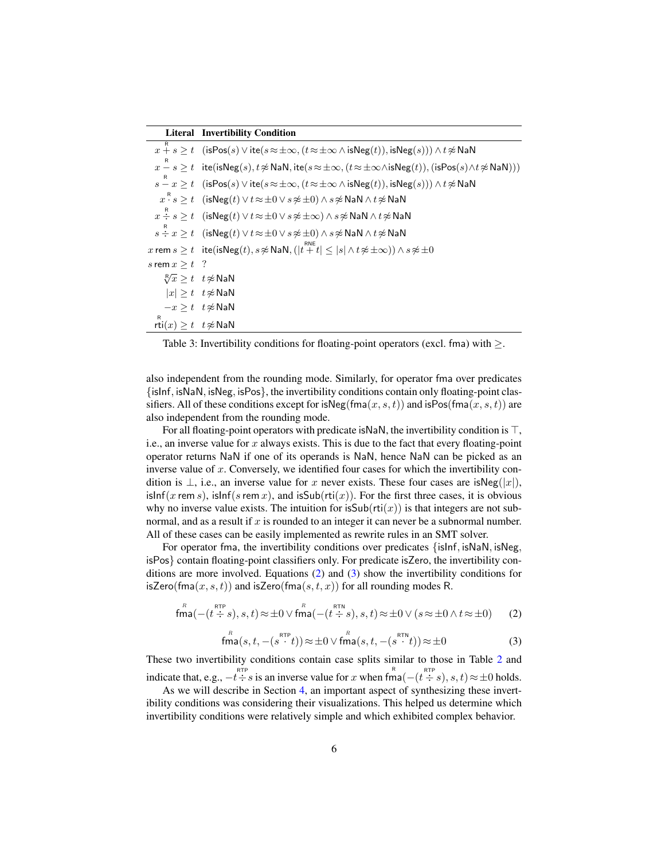<span id="page-5-0"></span>

|                                        | <b>Literal Invertibility Condition</b>                                                                                                                                                |
|----------------------------------------|---------------------------------------------------------------------------------------------------------------------------------------------------------------------------------------|
|                                        | $x + s \ge t$ (is Pos(s) $\vee$ ite( $s \approx \pm \infty$ , $(t \approx \pm \infty \wedge \text{isNeg}(t))$ , is Neg(s))) $\wedge t \not\approx$ NaN                                |
|                                        | $x\overset{R}{-} s \geq t$ ite(isNeg(s), $t \not\approx$ NaN, ite( $s \approx \pm \infty$ , $(t \approx \pm \infty \wedge \text{isNeg}(t))$ , (isPos(s) $\wedge t \not\approx$ NaN))) |
|                                        | $s - x \geq t$ (is Pos(s) $\vee$ ite( $s \approx \pm \infty$ , $(t \approx \pm \infty \wedge \text{isNeg}(t))$ , is Neg(s))) $\wedge t \not\approx$ NaN                               |
|                                        | $x^R \cdot s \geq t$ (is Neg(t) $\vee t \approx \pm 0 \vee s \not\approx \pm 0$ ) $\wedge s \not\approx$ NaN $\wedge t \not\approx$ NaN                                               |
|                                        | $x \stackrel{R}{\div} s > t$ (is Neg(t) $\vee t \approx \pm 0 \vee s \not\approx \pm \infty$ ) $\wedge s \not\approx$ NaN $\wedge t \not\approx$ NaN                                  |
|                                        | $s \stackrel{R}{\div} x \ge t$ (is Neg(t) $\vee t \approx \pm 0 \vee s \not\approx \pm 0$ ) $\wedge s \not\approx$ NaN $\wedge t \not\approx$ NaN                                     |
|                                        | x rem $s \ge t$ ite(isNeg(t), $s \not\approx$ NaN, $( t + t  \le  s  \wedge t \not\approx \pm \infty)$ ) $\wedge s \not\approx \pm 0$                                                 |
| s rem $x \geq t$ ?                     |                                                                                                                                                                                       |
|                                        | $\sqrt[R]{x} \geq t$ $t \not\approx$ NaN                                                                                                                                              |
|                                        | $ x  > t$ $t \approx$ NaN                                                                                                                                                             |
|                                        | $-x \geq t$ $t \not\approx$ NaN                                                                                                                                                       |
| R<br>rti $(x) > t$ $t \not\approx$ NaN |                                                                                                                                                                                       |

Table 3: Invertibility conditions for floating-point operators (excl. fma) with  $\geq$ .

also independent from the rounding mode. Similarly, for operator fma over predicates {isInf, isNaN, isNeg, isPos}, the invertibility conditions contain only floating-point classifiers. All of these conditions except for  $isNeg(fma(x, s, t))$  and  $isPos(fma(x, s, t))$  are also independent from the rounding mode.

For all floating-point operators with predicate isNaN, the invertibility condition is  $\top$ , i.e., an inverse value for x always exists. This is due to the fact that every floating-point operator returns NaN if one of its operands is NaN, hence NaN can be picked as an inverse value of x. Conversely, we identified four cases for which the invertibility condition is  $\bot$ , i.e., an inverse value for x never exists. These four cases are isNeg(|x|), isInf(x rem s), isInf(s rem x), and isSub(rti(x)). For the first three cases, it is obvious why no inverse value exists. The intuition for  $isSub(rti(x))$  is that integers are not subnormal, and as a result if  $x$  is rounded to an integer it can never be a subnormal number. All of these cases can be easily implemented as rewrite rules in an SMT solver.

For operator fma, the invertibility conditions over predicates  $\{\text{ishn}, \text{isNap}, \text{isNeg}\}$ isPos} contain floating-point classifiers only. For predicate isZero, the invertibility conditions are more involved. Equations [\(2\)](#page-5-1) and [\(3\)](#page-5-2) show the invertibility conditions for isZero(fma $(x, s, t)$ ) and isZero(fma $(s, t, x)$ ) for all rounding modes R.

<span id="page-5-1"></span>
$$
\mathsf{fma}^{\mathsf{R}}(-(t \div s), s, t) \approx \pm 0 \lor \mathsf{fma}^{\mathsf{R}}(-(t \div s), s, t) \approx \pm 0 \lor (s \approx \pm 0 \land t \approx \pm 0) \tag{2}
$$

<span id="page-5-2"></span>
$$
\operatorname{fma}(s, t, -(s^{\operatorname{RTP}}t)) \approx \pm 0 \vee \operatorname{fma}(s, t, -(s^{\operatorname{RTN}}t)) \approx \pm 0 \tag{3}
$$

These two invertibility conditions contain case splits similar to those in Table [2](#page-4-0) and indicate that, e.g.,  $-t \div s$  is an inverse value for x when  $\lim_{n}^{\mathbb{R}}(-(t \div s), s, t) \approx \pm 0$  holds.

As we will describe in Section [4,](#page-8-0) an important aspect of synthesizing these invertibility conditions was considering their visualizations. This helped us determine which invertibility conditions were relatively simple and which exhibited complex behavior.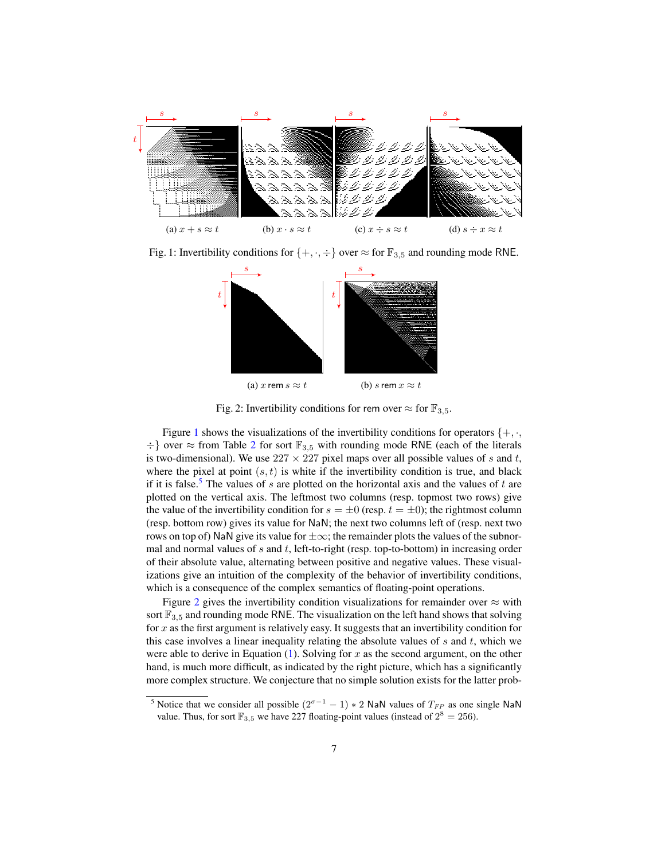<span id="page-6-0"></span>

<span id="page-6-2"></span>Fig. 1: Invertibility conditions for  $\{+, \cdot, \div\}$  over  $\approx$  for  $\mathbb{F}_{3,5}$  and rounding mode RNE.



Fig. 2: Invertibility conditions for rem over  $\approx$  for  $\mathbb{F}_{3,5}$ .

Figure [1](#page-6-0) shows the visualizations of the invertibility conditions for operators  $\{+, \cdot, \cdot, \cdot\}$  $\div$ } over  $\approx$  from Table [2](#page-4-0) for sort  $\mathbb{F}_{3,5}$  with rounding mode RNE (each of the literals is two-dimensional). We use  $227 \times 227$  pixel maps over all possible values of s and t, where the pixel at point  $(s, t)$  is white if the invertibility condition is true, and black if it is false.<sup>[5](#page-6-1)</sup> The values of s are plotted on the horizontal axis and the values of t are plotted on the vertical axis. The leftmost two columns (resp. topmost two rows) give the value of the invertibility condition for  $s = \pm 0$  (resp.  $t = \pm 0$ ); the rightmost column (resp. bottom row) gives its value for NaN; the next two columns left of (resp. next two rows on top of) NaN give its value for  $\pm \infty$ ; the remainder plots the values of the subnormal and normal values of  $s$  and  $t$ , left-to-right (resp. top-to-bottom) in increasing order of their absolute value, alternating between positive and negative values. These visualizations give an intuition of the complexity of the behavior of invertibility conditions, which is a consequence of the complex semantics of floating-point operations.

Figure [2](#page-6-2) gives the invertibility condition visualizations for remainder over  $\approx$  with sort  $\mathbb{F}_{3,5}$  and rounding mode RNE. The visualization on the left hand shows that solving for  $x$  as the first argument is relatively easy. It suggests that an invertibility condition for this case involves a linear inequality relating the absolute values of s and  $t$ , which we were able to derive in Equation  $(1)$ . Solving for x as the second argument, on the other hand, is much more difficult, as indicated by the right picture, which has a significantly more complex structure. We conjecture that no simple solution exists for the latter prob-

<span id="page-6-1"></span><sup>&</sup>lt;sup>5</sup> Notice that we consider all possible  $(2^{\sigma-1} - 1) \times 2$  NaN values of  $T_{FP}$  as one single NaN value. Thus, for sort  $\mathbb{F}_{3,5}$  we have 227 floating-point values (instead of  $2^8 = 256$ ).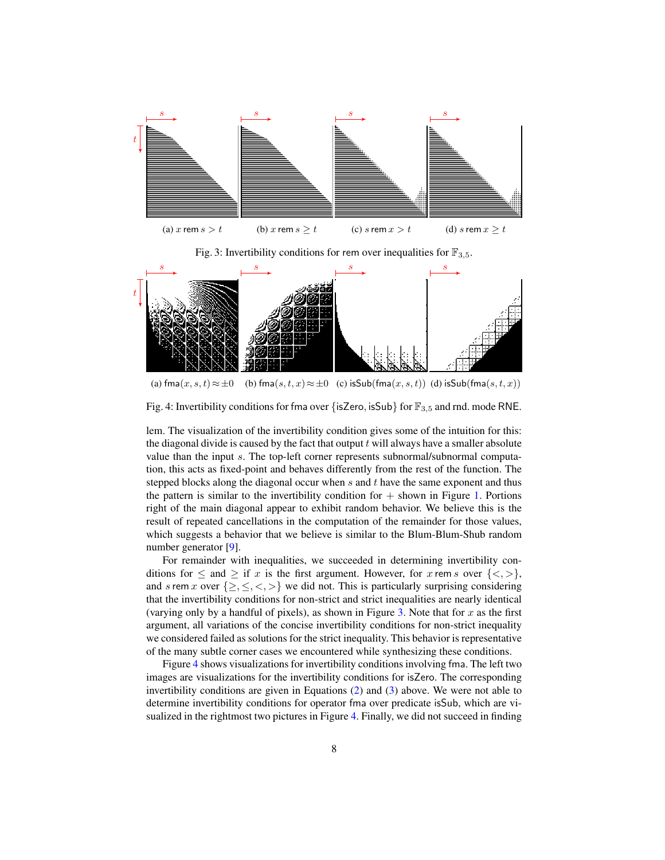<span id="page-7-0"></span>

<span id="page-7-1"></span>(a) fma $(x, s, t) \approx \pm 0$ (b) fma $(s,t,x)$   $\approx$   $\pm$ 0 (c) isSub(fma $(x,s,t)$ ) (d) isSub(fma $(s,t,x)$ )

Fig. 4: Invertibility conditions for fma over {isZero, isSub} for  $\mathbb{F}_{3,5}$  and rnd. mode RNE.

lem. The visualization of the invertibility condition gives some of the intuition for this: the diagonal divide is caused by the fact that output  $t$  will always have a smaller absolute value than the input s. The top-left corner represents subnormal/subnormal computation, this acts as fixed-point and behaves differently from the rest of the function. The stepped blocks along the diagonal occur when  $s$  and  $t$  have the same exponent and thus the pattern is similar to the invertibility condition for  $+$  shown in Figure [1.](#page-6-0) Portions right of the main diagonal appear to exhibit random behavior. We believe this is the result of repeated cancellations in the computation of the remainder for those values, which suggests a behavior that we believe is similar to the Blum-Blum-Shub random number generator [\[9\]](#page-16-12).

For remainder with inequalities, we succeeded in determining invertibility conditions for  $\leq$  and  $\geq$  if x is the first argument. However, for x rem s over  $\{<,>\},$ and s rem x over  $\{\geq, \leq, \lt, \geq\}$  we did not. This is particularly surprising considering that the invertibility conditions for non-strict and strict inequalities are nearly identical (varying only by a handful of pixels), as shown in Figure [3.](#page-7-0) Note that for  $x$  as the first argument, all variations of the concise invertibility conditions for non-strict inequality we considered failed as solutions for the strict inequality. This behavior is representative of the many subtle corner cases we encountered while synthesizing these conditions.

Figure [4](#page-7-1) shows visualizations for invertibility conditions involving fma. The left two images are visualizations for the invertibility conditions for isZero. The corresponding invertibility conditions are given in Equations [\(2\)](#page-5-1) and [\(3\)](#page-5-2) above. We were not able to determine invertibility conditions for operator fma over predicate isSub, which are visualized in the rightmost two pictures in Figure [4.](#page-7-1) Finally, we did not succeed in finding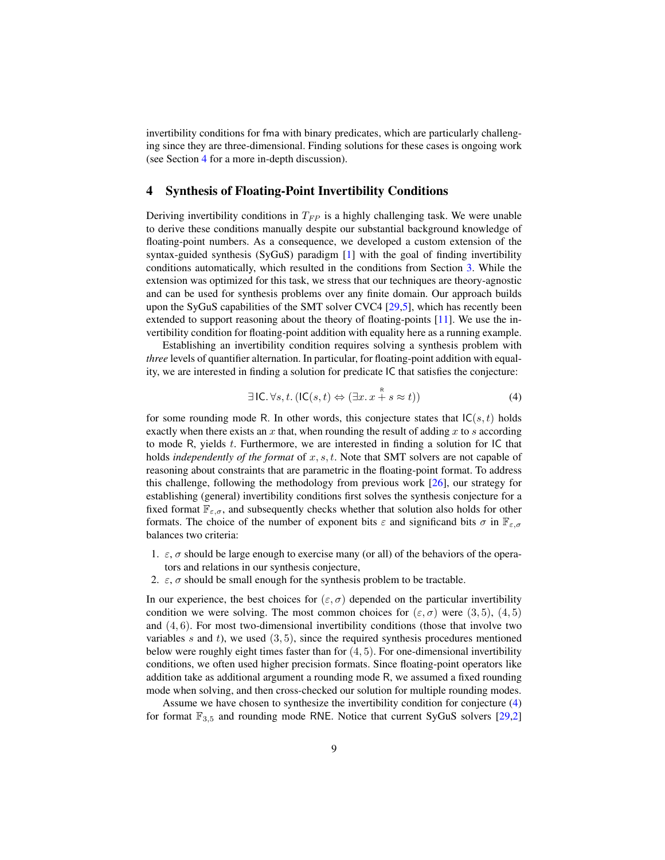invertibility conditions for fma with binary predicates, which are particularly challenging since they are three-dimensional. Finding solutions for these cases is ongoing work (see Section [4](#page-8-0) for a more in-depth discussion).

# <span id="page-8-0"></span>4 Synthesis of Floating-Point Invertibility Conditions

Deriving invertibility conditions in  $T_{FP}$  is a highly challenging task. We were unable to derive these conditions manually despite our substantial background knowledge of floating-point numbers. As a consequence, we developed a custom extension of the syntax-guided synthesis (SyGuS) paradigm [\[1\]](#page-16-13) with the goal of finding invertibility conditions automatically, which resulted in the conditions from Section [3.](#page-2-0) While the extension was optimized for this task, we stress that our techniques are theory-agnostic and can be used for synthesis problems over any finite domain. Our approach builds upon the SyGuS capabilities of the SMT solver CVC4 [\[29,](#page-17-2)[5\]](#page-16-14), which has recently been extended to support reasoning about the theory of floating-points [\[11\]](#page-16-1). We use the invertibility condition for floating-point addition with equality here as a running example.

Establishing an invertibility condition requires solving a synthesis problem with *three* levels of quantifier alternation. In particular, for floating-point addition with equality, we are interested in finding a solution for predicate IC that satisfies the conjecture:

<span id="page-8-1"></span>
$$
\exists \text{IC. } \forall s, t. \left( \text{IC}(s, t) \Leftrightarrow (\exists x. \ x \stackrel{\text{R}}{+} s \approx t) \right) \tag{4}
$$

for some rounding mode R. In other words, this conjecture states that  $IC(s, t)$  holds exactly when there exists an  $x$  that, when rounding the result of adding  $x$  to  $s$  according to mode R, yields  $t$ . Furthermore, we are interested in finding a solution for IC that holds *independently of the format* of x, s, t. Note that SMT solvers are not capable of reasoning about constraints that are parametric in the floating-point format. To address this challenge, following the methodology from previous work [\[26\]](#page-17-4), our strategy for establishing (general) invertibility conditions first solves the synthesis conjecture for a fixed format  $\mathbb{F}_{\epsilon,\sigma}$ , and subsequently checks whether that solution also holds for other formats. The choice of the number of exponent bits  $\varepsilon$  and significand bits  $\sigma$  in  $\mathbb{F}_{\varepsilon,\sigma}$ balances two criteria:

- 1.  $\varepsilon$ ,  $\sigma$  should be large enough to exercise many (or all) of the behaviors of the operators and relations in our synthesis conjecture,
- 2.  $\varepsilon$ ,  $\sigma$  should be small enough for the synthesis problem to be tractable.

In our experience, the best choices for  $(\varepsilon, \sigma)$  depended on the particular invertibility condition we were solving. The most common choices for  $(\varepsilon, \sigma)$  were  $(3, 5)$ ,  $(4, 5)$ and  $(4, 6)$ . For most two-dimensional invertibility conditions (those that involve two variables s and t), we used  $(3, 5)$ , since the required synthesis procedures mentioned below were roughly eight times faster than for  $(4, 5)$ . For one-dimensional invertibility conditions, we often used higher precision formats. Since floating-point operators like addition take as additional argument a rounding mode R, we assumed a fixed rounding mode when solving, and then cross-checked our solution for multiple rounding modes.

Assume we have chosen to synthesize the invertibility condition for conjecture [\(4\)](#page-8-1) for format  $\mathbb{F}_{3,5}$  and rounding mode RNE. Notice that current SyGuS solvers [\[29](#page-17-2)[,2\]](#page-16-15)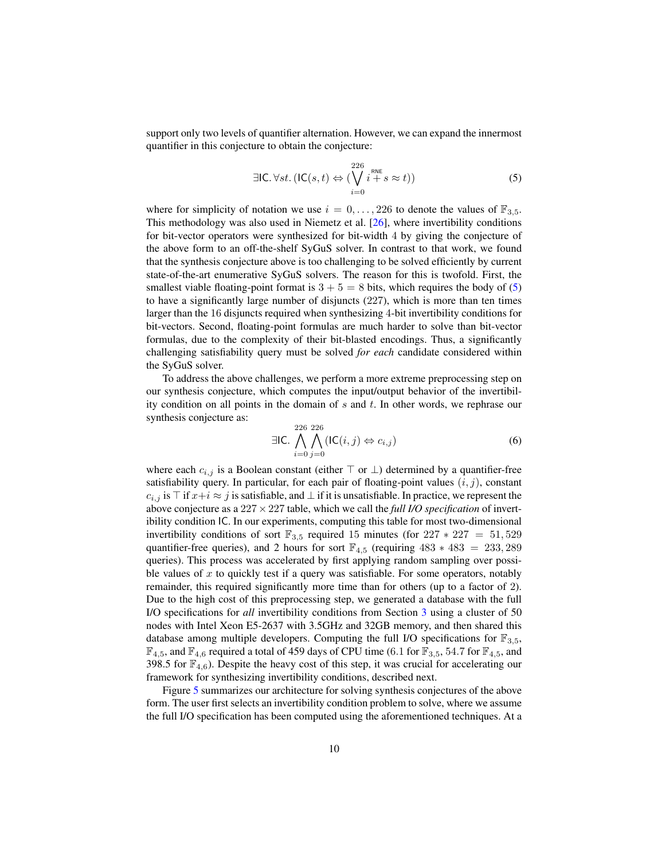support only two levels of quantifier alternation. However, we can expand the innermost quantifier in this conjecture to obtain the conjecture:

<span id="page-9-0"></span>
$$
\exists \text{IC.} \,\forall st. \, (\text{IC}(s, t) \Leftrightarrow (\bigvee_{i=0}^{226} i + s \approx t))
$$
 (5)

where for simplicity of notation we use  $i = 0, \ldots, 226$  to denote the values of  $\mathbb{F}_{3,5}$ . This methodology was also used in Niemetz et al. [\[26\]](#page-17-4), where invertibility conditions for bit-vector operators were synthesized for bit-width 4 by giving the conjecture of the above form to an off-the-shelf SyGuS solver. In contrast to that work, we found that the synthesis conjecture above is too challenging to be solved efficiently by current state-of-the-art enumerative SyGuS solvers. The reason for this is twofold. First, the smallest viable floating-point format is  $3 + 5 = 8$  bits, which requires the body of [\(5\)](#page-9-0) to have a significantly large number of disjuncts (227), which is more than ten times larger than the 16 disjuncts required when synthesizing 4-bit invertibility conditions for bit-vectors. Second, floating-point formulas are much harder to solve than bit-vector formulas, due to the complexity of their bit-blasted encodings. Thus, a significantly challenging satisfiability query must be solved *for each* candidate considered within the SyGuS solver.

To address the above challenges, we perform a more extreme preprocessing step on our synthesis conjecture, which computes the input/output behavior of the invertibility condition on all points in the domain of  $s$  and  $t$ . In other words, we rephrase our synthesis conjecture as:

<span id="page-9-1"></span>
$$
\exists \text{IC.} \bigwedge_{i=0}^{226} \bigwedge_{j=0}^{226} (\text{IC}(i,j) \Leftrightarrow c_{i,j})
$$
 (6)

where each  $c_{i,j}$  is a Boolean constant (either  $\top$  or  $\bot$ ) determined by a quantifier-free satisfiability query. In particular, for each pair of floating-point values  $(i, j)$ , constant  $c_{i,j}$  is  $\top$  if  $x+i \approx j$  is satisfiable, and  $\bot$  if it is unsatisfiable. In practice, we represent the above conjecture as a 227×227 table, which we call the *full I/O specification* of invertibility condition IC. In our experiments, computing this table for most two-dimensional invertibility conditions of sort  $\mathbb{F}_{3,5}$  required 15 minutes (for 227  $*$  227 = 51,529 quantifier-free queries), and 2 hours for sort  $\mathbb{F}_{4,5}$  (requiring  $483 \times 483 = 233,289$ queries). This process was accelerated by first applying random sampling over possible values of x to quickly test if a query was satisfiable. For some operators, notably remainder, this required significantly more time than for others (up to a factor of 2). Due to the high cost of this preprocessing step, we generated a database with the full I/O specifications for *all* invertibility conditions from Section [3](#page-2-0) using a cluster of 50 nodes with Intel Xeon E5-2637 with 3.5GHz and 32GB memory, and then shared this database among multiple developers. Computing the full I/O specifications for  $\mathbb{F}_{3.5}$ ,  $\mathbb{F}_{4,5}$ , and  $\mathbb{F}_{4,6}$  required a total of 459 days of CPU time (6.1 for  $\mathbb{F}_{3,5}$ , 54.7 for  $\mathbb{F}_{4,5}$ , and 398.5 for  $\mathbb{F}_{4,6}$ ). Despite the heavy cost of this step, it was crucial for accelerating our framework for synthesizing invertibility conditions, described next.

Figure [5](#page-10-0) summarizes our architecture for solving synthesis conjectures of the above form. The user first selects an invertibility condition problem to solve, where we assume the full I/O specification has been computed using the aforementioned techniques. At a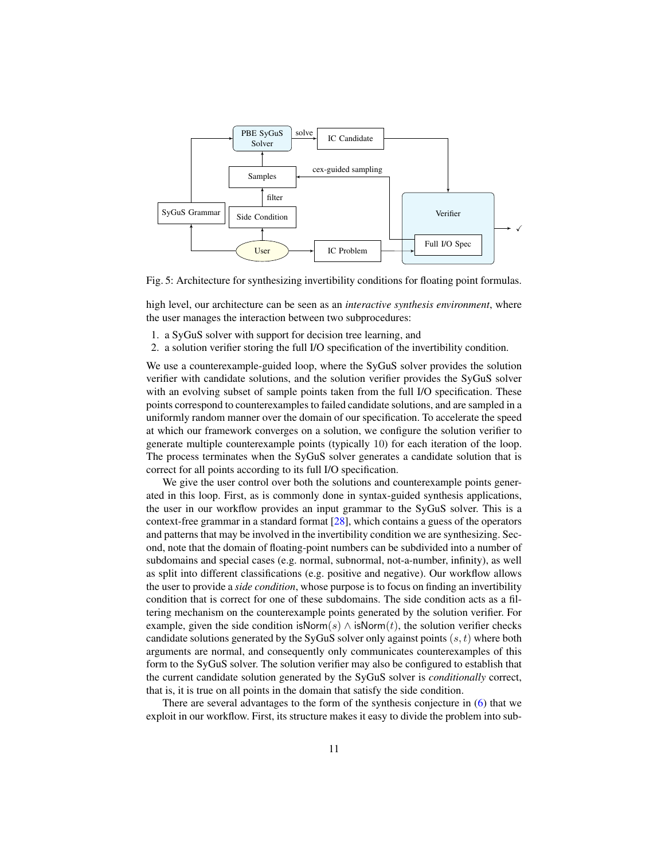<span id="page-10-0"></span>

Fig. 5: Architecture for synthesizing invertibility conditions for floating point formulas.

high level, our architecture can be seen as an *interactive synthesis environment*, where the user manages the interaction between two subprocedures:

- 1. a SyGuS solver with support for decision tree learning, and
- 2. a solution verifier storing the full I/O specification of the invertibility condition.

We use a counterexample-guided loop, where the SyGuS solver provides the solution verifier with candidate solutions, and the solution verifier provides the SyGuS solver with an evolving subset of sample points taken from the full I/O specification. These points correspond to counterexamples to failed candidate solutions, and are sampled in a uniformly random manner over the domain of our specification. To accelerate the speed at which our framework converges on a solution, we configure the solution verifier to generate multiple counterexample points (typically 10) for each iteration of the loop. The process terminates when the SyGuS solver generates a candidate solution that is correct for all points according to its full I/O specification.

We give the user control over both the solutions and counterexample points generated in this loop. First, as is commonly done in syntax-guided synthesis applications, the user in our workflow provides an input grammar to the SyGuS solver. This is a context-free grammar in a standard format [\[28\]](#page-17-13), which contains a guess of the operators and patterns that may be involved in the invertibility condition we are synthesizing. Second, note that the domain of floating-point numbers can be subdivided into a number of subdomains and special cases (e.g. normal, subnormal, not-a-number, infinity), as well as split into different classifications (e.g. positive and negative). Our workflow allows the user to provide a *side condition*, whose purpose is to focus on finding an invertibility condition that is correct for one of these subdomains. The side condition acts as a filtering mechanism on the counterexample points generated by the solution verifier. For example, given the side condition isNorm(s)  $\land$  isNorm(t), the solution verifier checks candidate solutions generated by the SyGuS solver only against points  $(s, t)$  where both arguments are normal, and consequently only communicates counterexamples of this form to the SyGuS solver. The solution verifier may also be configured to establish that the current candidate solution generated by the SyGuS solver is *conditionally* correct, that is, it is true on all points in the domain that satisfy the side condition.

There are several advantages to the form of the synthesis conjecture in [\(6\)](#page-9-1) that we exploit in our workflow. First, its structure makes it easy to divide the problem into sub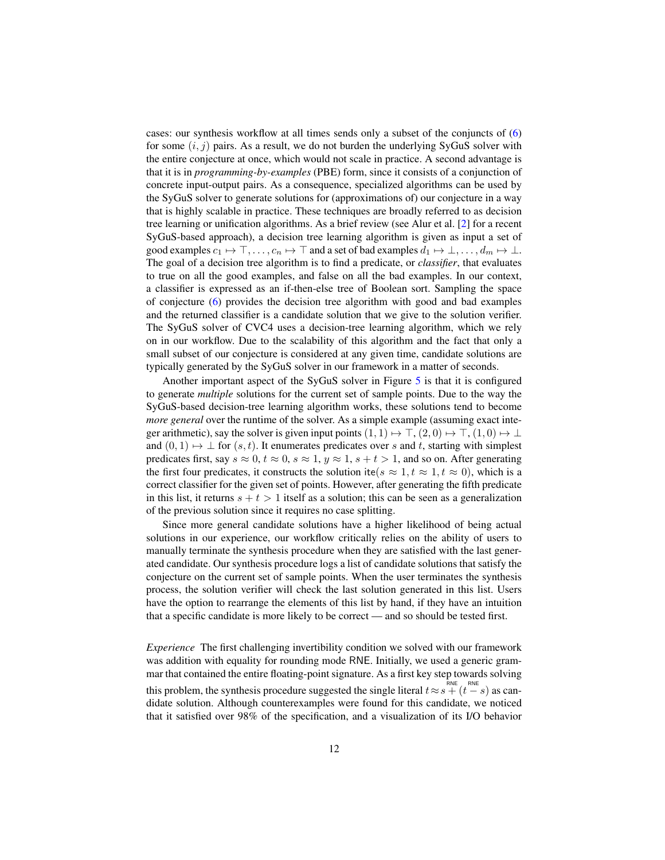cases: our synthesis workflow at all times sends only a subset of the conjuncts of [\(6\)](#page-9-1) for some  $(i, j)$  pairs. As a result, we do not burden the underlying SyGuS solver with the entire conjecture at once, which would not scale in practice. A second advantage is that it is in *programming-by-examples* (PBE) form, since it consists of a conjunction of concrete input-output pairs. As a consequence, specialized algorithms can be used by the SyGuS solver to generate solutions for (approximations of) our conjecture in a way that is highly scalable in practice. These techniques are broadly referred to as decision tree learning or unification algorithms. As a brief review (see Alur et al. [\[2\]](#page-16-15) for a recent SyGuS-based approach), a decision tree learning algorithm is given as input a set of good examples  $c_1 \mapsto \top, \ldots, c_n \mapsto \top$  and a set of bad examples  $d_1 \mapsto \bot, \ldots, d_m \mapsto \bot$ . The goal of a decision tree algorithm is to find a predicate, or *classifier*, that evaluates to true on all the good examples, and false on all the bad examples. In our context, a classifier is expressed as an if-then-else tree of Boolean sort. Sampling the space of conjecture [\(6\)](#page-9-1) provides the decision tree algorithm with good and bad examples and the returned classifier is a candidate solution that we give to the solution verifier. The SyGuS solver of CVC4 uses a decision-tree learning algorithm, which we rely on in our workflow. Due to the scalability of this algorithm and the fact that only a small subset of our conjecture is considered at any given time, candidate solutions are typically generated by the SyGuS solver in our framework in a matter of seconds.

Another important aspect of the SyGuS solver in Figure [5](#page-10-0) is that it is configured to generate *multiple* solutions for the current set of sample points. Due to the way the SyGuS-based decision-tree learning algorithm works, these solutions tend to become *more general* over the runtime of the solver. As a simple example (assuming exact integer arithmetic), say the solver is given input points  $(1, 1) \mapsto \top$ ,  $(2, 0) \mapsto \top$ ,  $(1, 0) \mapsto \bot$ and  $(0, 1) \mapsto \perp$  for  $(s, t)$ . It enumerates predicates over s and t, starting with simplest predicates first, say  $s \approx 0$ ,  $t \approx 0$ ,  $s \approx 1$ ,  $y \approx 1$ ,  $s + t > 1$ , and so on. After generating the first four predicates, it constructs the solution ite( $s \approx 1, t \approx 1, t \approx 0$ ), which is a correct classifier for the given set of points. However, after generating the fifth predicate in this list, it returns  $s + t > 1$  itself as a solution; this can be seen as a generalization of the previous solution since it requires no case splitting.

Since more general candidate solutions have a higher likelihood of being actual solutions in our experience, our workflow critically relies on the ability of users to manually terminate the synthesis procedure when they are satisfied with the last generated candidate. Our synthesis procedure logs a list of candidate solutions that satisfy the conjecture on the current set of sample points. When the user terminates the synthesis process, the solution verifier will check the last solution generated in this list. Users have the option to rearrange the elements of this list by hand, if they have an intuition that a specific candidate is more likely to be correct — and so should be tested first.

*Experience* The first challenging invertibility condition we solved with our framework was addition with equality for rounding mode RNE. Initially, we used a generic grammar that contained the entire floating-point signature. As a first key step towards solving this problem, the synthesis procedure suggested the single literal  $t \approx s + (t - s)$  as candidate solution. Although counterexamples were found for this candidate, we noticed that it satisfied over 98% of the specification, and a visualization of its I/O behavior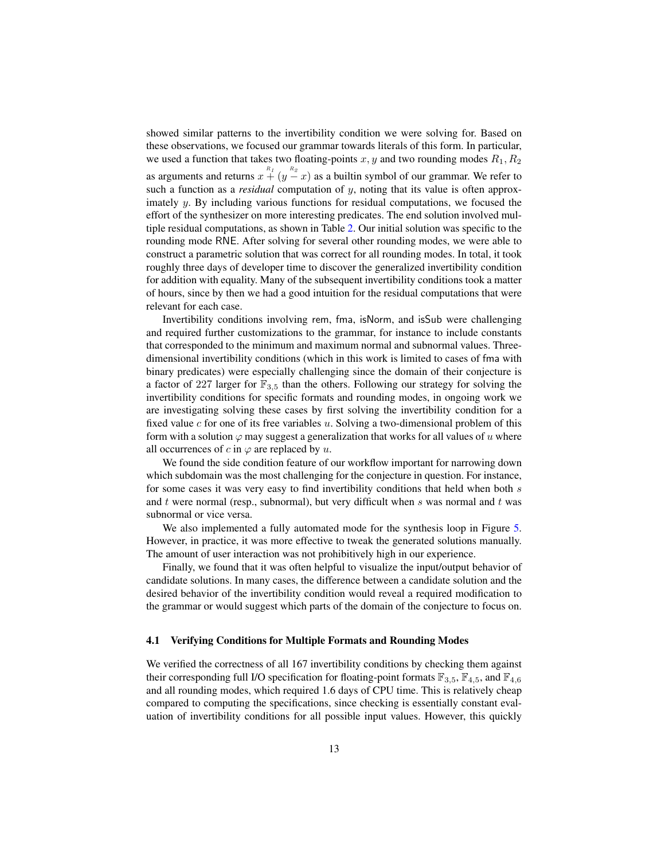showed similar patterns to the invertibility condition we were solving for. Based on these observations, we focused our grammar towards literals of this form. In particular, we used a function that takes two floating-points  $x, y$  and two rounding modes  $R_1, R_2$ as arguments and returns  $x + (y - x)$  as a builtin symbol of our grammar. We refer to such a function as a *residual* computation of y, noting that its value is often approximately y. By including various functions for residual computations, we focused the effort of the synthesizer on more interesting predicates. The end solution involved multiple residual computations, as shown in Table [2.](#page-4-0) Our initial solution was specific to the rounding mode RNE. After solving for several other rounding modes, we were able to construct a parametric solution that was correct for all rounding modes. In total, it took roughly three days of developer time to discover the generalized invertibility condition for addition with equality. Many of the subsequent invertibility conditions took a matter of hours, since by then we had a good intuition for the residual computations that were relevant for each case.

Invertibility conditions involving rem, fma, isNorm, and isSub were challenging and required further customizations to the grammar, for instance to include constants that corresponded to the minimum and maximum normal and subnormal values. Threedimensional invertibility conditions (which in this work is limited to cases of fma with binary predicates) were especially challenging since the domain of their conjecture is a factor of 227 larger for  $\mathbb{F}_{3,5}$  than the others. Following our strategy for solving the invertibility conditions for specific formats and rounding modes, in ongoing work we are investigating solving these cases by first solving the invertibility condition for a fixed value  $c$  for one of its free variables  $u$ . Solving a two-dimensional problem of this form with a solution  $\varphi$  may suggest a generalization that works for all values of u where all occurrences of c in  $\varphi$  are replaced by u.

We found the side condition feature of our workflow important for narrowing down which subdomain was the most challenging for the conjecture in question. For instance, for some cases it was very easy to find invertibility conditions that held when both s and  $t$  were normal (resp., subnormal), but very difficult when  $s$  was normal and  $t$  was subnormal or vice versa.

We also implemented a fully automated mode for the synthesis loop in Figure [5.](#page-10-0) However, in practice, it was more effective to tweak the generated solutions manually. The amount of user interaction was not prohibitively high in our experience.

Finally, we found that it was often helpful to visualize the input/output behavior of candidate solutions. In many cases, the difference between a candidate solution and the desired behavior of the invertibility condition would reveal a required modification to the grammar or would suggest which parts of the domain of the conjecture to focus on.

#### 4.1 Verifying Conditions for Multiple Formats and Rounding Modes

We verified the correctness of all 167 invertibility conditions by checking them against their corresponding full I/O specification for floating-point formats  $\mathbb{F}_{3,5}$ ,  $\mathbb{F}_{4,5}$ , and  $\mathbb{F}_{4,6}$ and all rounding modes, which required 1.6 days of CPU time. This is relatively cheap compared to computing the specifications, since checking is essentially constant evaluation of invertibility conditions for all possible input values. However, this quickly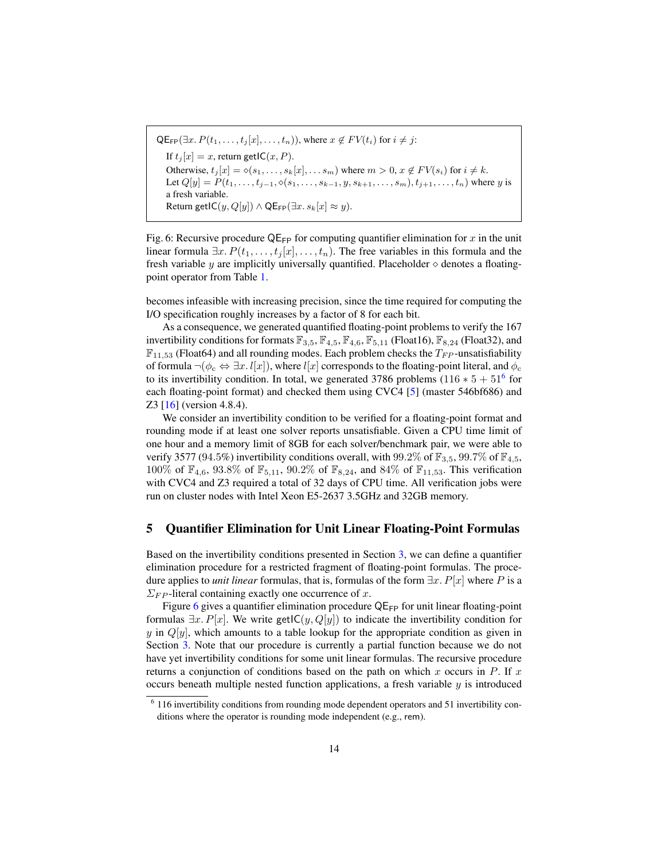<span id="page-13-2"></span> $Q \mathsf{E}_{\mathsf{FP}}(\exists x \ldotp P(t_1, \ldots, t_i | x], \ldots, t_n))$ , where  $x \notin FV(t_i)$  for  $i \neq j$ : If  $t_j[x] = x$ , return getIC(x, P). Otherwise,  $t_j[x] = \diamond (s_1, \ldots, s_k[x], \ldots s_m)$  where  $m > 0, x \notin FV(s_i)$  for  $i \neq k$ . Let  $Q[y] = P(t_1, \ldots, t_{j-1}, \diamond(s_1, \ldots, s_{k-1}, y, s_{k+1}, \ldots, s_m), t_{j+1}, \ldots, t_n)$  where y is a fresh variable. Return getIC(y, Q[y])  $\wedge$  QE<sub>FP</sub>( $\exists x. s_k[x] \approx y$ ).

Fig. 6: Recursive procedure  $\mathsf{QE}_{\mathsf{FP}}$  for computing quantifier elimination for x in the unit linear formula  $\exists x \, P(t_1, \ldots, t_j[x], \ldots, t_n)$ . The free variables in this formula and the fresh variable y are implicitly universally quantified. Placeholder  $\diamond$  denotes a floatingpoint operator from Table [1.](#page-3-0)

becomes infeasible with increasing precision, since the time required for computing the I/O specification roughly increases by a factor of 8 for each bit.

As a consequence, we generated quantified floating-point problems to verify the 167 invertibility conditions for formats  $\mathbb{F}_{3,5}$ ,  $\mathbb{F}_{4,5}$ ,  $\mathbb{F}_{4,6}$ ,  $\mathbb{F}_{5,11}$  (Float16),  $\mathbb{F}_{8,24}$  (Float32), and  $\mathbb{F}_{11,53}$  (Float64) and all rounding modes. Each problem checks the  $T_{FP}$ -unsatisfiability of formula  $\neg(\phi_c \Leftrightarrow \exists x. l[x])$ , where  $l[x]$  corresponds to the floating-point literal, and  $\phi_c$ to its invertibility condition. In total, we generated 378[6](#page-13-1) problems  $(116 * 5 + 51<sup>6</sup>$  for each floating-point format) and checked them using CVC4 [\[5\]](#page-16-14) (master 546bf686) and Z3 [\[16\]](#page-16-3) (version 4.8.4).

We consider an invertibility condition to be verified for a floating-point format and rounding mode if at least one solver reports unsatisfiable. Given a CPU time limit of one hour and a memory limit of 8GB for each solver/benchmark pair, we were able to verify 3577 (94.5%) invertibility conditions overall, with 99.2% of  $\mathbb{F}_{3,5}$ , 99.7% of  $\mathbb{F}_{4,5}$ , 100% of  $\mathbb{F}_{4,6}$ , 93.8% of  $\mathbb{F}_{5,11}$ , 90.2% of  $\mathbb{F}_{8,24}$ , and 84% of  $\mathbb{F}_{11,53}$ . This verification with CVC4 and Z3 required a total of 32 days of CPU time. All verification jobs were run on cluster nodes with Intel Xeon E5-2637 3.5GHz and 32GB memory.

### <span id="page-13-0"></span>5 Quantifier Elimination for Unit Linear Floating-Point Formulas

Based on the invertibility conditions presented in Section [3,](#page-2-0) we can define a quantifier elimination procedure for a restricted fragment of floating-point formulas. The procedure applies to *unit linear* formulas, that is, formulas of the form  $\exists x. P[x]$  where P is a  $\Sigma_{FP}$ -literal containing exactly one occurrence of x.

Figure [6](#page-13-2) gives a quantifier elimination procedure  $\mathsf{QE}_{\mathsf{FP}}$  for unit linear floating-point formulas  $\exists x. P[x]$ . We write getIC(y, Q[y]) to indicate the invertibility condition for y in  $Q[y]$ , which amounts to a table lookup for the appropriate condition as given in Section [3.](#page-2-0) Note that our procedure is currently a partial function because we do not have yet invertibility conditions for some unit linear formulas. The recursive procedure returns a conjunction of conditions based on the path on which  $x$  occurs in  $P$ . If  $x$ occurs beneath multiple nested function applications, a fresh variable  $y$  is introduced

<span id="page-13-1"></span> $<sup>6</sup>$  116 invertibility conditions from rounding mode dependent operators and 51 invertibility con-</sup> ditions where the operator is rounding mode independent (e.g., rem).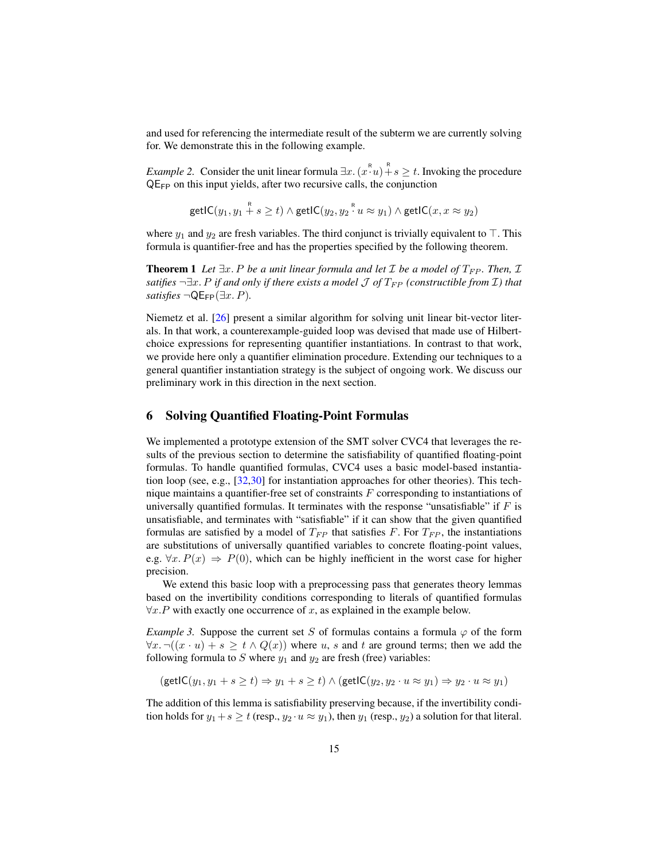and used for referencing the intermediate result of the subterm we are currently solving for. We demonstrate this in the following example.

*Example 2.* Consider the unit linear formula  $\exists x \cdot (x^{\mathsf{R}} \cdot u) + s \geq t$ . Invoking the procedure  $QE_{FP}$  on this input yields, after two recursive calls, the conjunction

$$
\mathsf{getIC}(y_1, y_1 \overset{\mathsf{R}}{+} s \geq t) \land \mathsf{getIC}(y_2, y_2 \overset{\mathsf{R}}{ \cdot} u \approx y_1) \land \mathsf{getIC}(x, x \approx y_2)
$$

where  $y_1$  and  $y_2$  are fresh variables. The third conjunct is trivially equivalent to  $\top$ . This formula is quantifier-free and has the properties specified by the following theorem.

**Theorem 1** *Let*  $\exists x \in P$  *be a unit linear formula and let*  $\mathcal{I}$  *be a model of*  $T_{FP}$ *. Then,*  $\mathcal{I}$ *satifies*  $\neg \exists x \cdot P$  *if and only if there exists a model*  $\mathcal J$  *of*  $T_{FP}$  *(constructible from*  $\mathcal I$ *) that satisfies*  $\neg$ QE<sub>FP</sub>( $\exists x \, P$ ).

Niemetz et al. [\[26\]](#page-17-4) present a similar algorithm for solving unit linear bit-vector literals. In that work, a counterexample-guided loop was devised that made use of Hilbertchoice expressions for representing quantifier instantiations. In contrast to that work, we provide here only a quantifier elimination procedure. Extending our techniques to a general quantifier instantiation strategy is the subject of ongoing work. We discuss our preliminary work in this direction in the next section.

### 6 Solving Quantified Floating-Point Formulas

We implemented a prototype extension of the SMT solver CVC4 that leverages the results of the previous section to determine the satisfiability of quantified floating-point formulas. To handle quantified formulas, CVC4 uses a basic model-based instantiation loop (see, e.g.,  $[32,30]$  $[32,30]$  for instantiation approaches for other theories). This technique maintains a quantifier-free set of constraints  $F$  corresponding to instantiations of universally quantified formulas. It terminates with the response "unsatisfiable" if  $F$  is unsatisfiable, and terminates with "satisfiable" if it can show that the given quantified formulas are satisfied by a model of  $T_{FP}$  that satisfies F. For  $T_{FP}$ , the instantiations are substitutions of universally quantified variables to concrete floating-point values, e.g.  $\forall x. P(x) \Rightarrow P(0)$ , which can be highly inefficient in the worst case for higher precision.

We extend this basic loop with a preprocessing pass that generates theory lemmas based on the invertibility conditions corresponding to literals of quantified formulas  $\forall x \in P$  with exactly one occurrence of x, as explained in the example below.

*Example 3.* Suppose the current set S of formulas contains a formula  $\varphi$  of the form  $\forall x. \neg((x \cdot u) + s \ge t \land Q(x))$  where u, s and t are ground terms; then we add the following formula to S where  $y_1$  and  $y_2$  are fresh (free) variables:

 $(\text{getIC}(y_1, y_1 + s \ge t) \Rightarrow y_1 + s \ge t) \wedge (\text{getIC}(y_2, y_2 \cdot u \approx y_1) \Rightarrow y_2 \cdot u \approx y_1)$ 

The addition of this lemma is satisfiability preserving because, if the invertibility condition holds for  $y_1 + s \ge t$  (resp.,  $y_2 \cdot u \approx y_1$ ), then  $y_1$  (resp.,  $y_2$ ) a solution for that literal.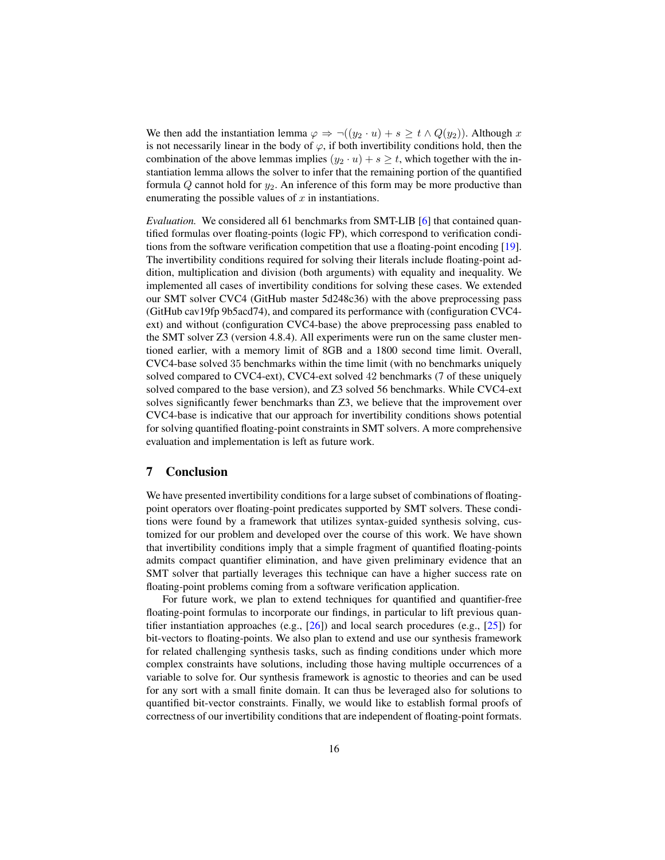We then add the instantiation lemma  $\varphi \Rightarrow \neg((y_2 \cdot u) + s \ge t \wedge Q(y_2))$ . Although x is not necessarily linear in the body of  $\varphi$ , if both invertibility conditions hold, then the combination of the above lemmas implies  $(y_2 \cdot u) + s \ge t$ , which together with the instantiation lemma allows the solver to infer that the remaining portion of the quantified formula  $Q$  cannot hold for  $y_2$ . An inference of this form may be more productive than enumerating the possible values of  $x$  in instantiations.

*Evaluation.* We considered all 61 benchmarks from SMT-LIB [\[6\]](#page-16-16) that contained quantified formulas over floating-points (logic FP), which correspond to verification conditions from the software verification competition that use a floating-point encoding [\[19\]](#page-17-15). The invertibility conditions required for solving their literals include floating-point addition, multiplication and division (both arguments) with equality and inequality. We implemented all cases of invertibility conditions for solving these cases. We extended our SMT solver CVC4 (GitHub master 5d248c36) with the above preprocessing pass (GitHub cav19fp 9b5acd74), and compared its performance with (configuration CVC4 ext) and without (configuration CVC4-base) the above preprocessing pass enabled to the SMT solver Z3 (version 4.8.4). All experiments were run on the same cluster mentioned earlier, with a memory limit of 8GB and a 1800 second time limit. Overall, CVC4-base solved 35 benchmarks within the time limit (with no benchmarks uniquely solved compared to CVC4-ext), CVC4-ext solved 42 benchmarks (7 of these uniquely solved compared to the base version), and Z3 solved 56 benchmarks. While CVC4-ext solves significantly fewer benchmarks than Z3, we believe that the improvement over CVC4-base is indicative that our approach for invertibility conditions shows potential for solving quantified floating-point constraints in SMT solvers. A more comprehensive evaluation and implementation is left as future work.

# 7 Conclusion

We have presented invertibility conditions for a large subset of combinations of floatingpoint operators over floating-point predicates supported by SMT solvers. These conditions were found by a framework that utilizes syntax-guided synthesis solving, customized for our problem and developed over the course of this work. We have shown that invertibility conditions imply that a simple fragment of quantified floating-points admits compact quantifier elimination, and have given preliminary evidence that an SMT solver that partially leverages this technique can have a higher success rate on floating-point problems coming from a software verification application.

For future work, we plan to extend techniques for quantified and quantifier-free floating-point formulas to incorporate our findings, in particular to lift previous quantifier instantiation approaches (e.g.,  $[26]$ ) and local search procedures (e.g.,  $[25]$ ) for bit-vectors to floating-points. We also plan to extend and use our synthesis framework for related challenging synthesis tasks, such as finding conditions under which more complex constraints have solutions, including those having multiple occurrences of a variable to solve for. Our synthesis framework is agnostic to theories and can be used for any sort with a small finite domain. It can thus be leveraged also for solutions to quantified bit-vector constraints. Finally, we would like to establish formal proofs of correctness of our invertibility conditions that are independent of floating-point formats.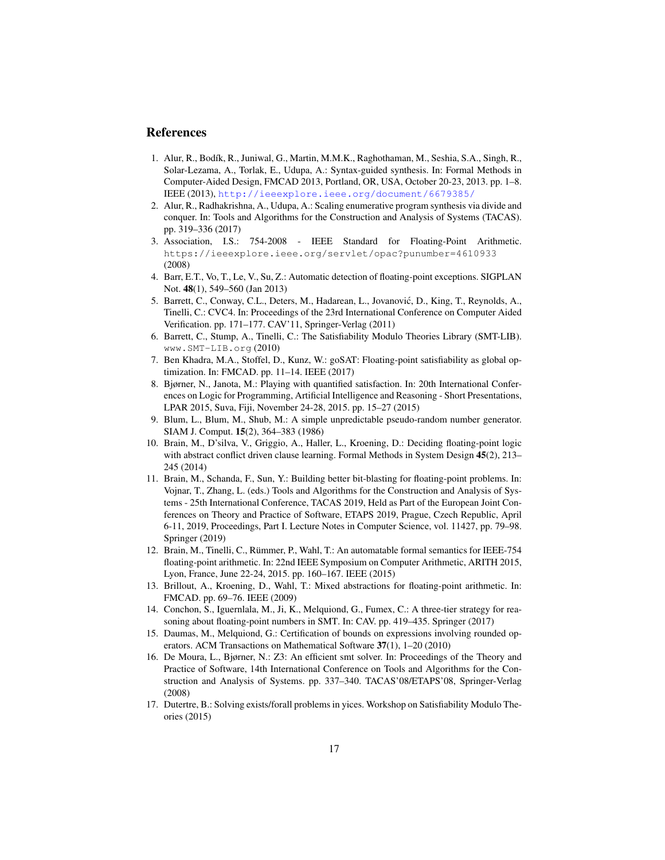### References

- <span id="page-16-13"></span>1. Alur, R., Bod´ık, R., Juniwal, G., Martin, M.M.K., Raghothaman, M., Seshia, S.A., Singh, R., Solar-Lezama, A., Torlak, E., Udupa, A.: Syntax-guided synthesis. In: Formal Methods in Computer-Aided Design, FMCAD 2013, Portland, OR, USA, October 20-23, 2013. pp. 1–8. IEEE (2013), <http://ieeexplore.ieee.org/document/6679385/>
- <span id="page-16-15"></span>2. Alur, R., Radhakrishna, A., Udupa, A.: Scaling enumerative program synthesis via divide and conquer. In: Tools and Algorithms for the Construction and Analysis of Systems (TACAS). pp. 319–336 (2017)
- <span id="page-16-11"></span>3. Association, I.S.: 754-2008 - IEEE Standard for Floating-Point Arithmetic. https://ieeexplore.ieee.org/servlet/opac?punumber=4610933 (2008)
- <span id="page-16-5"></span>4. Barr, E.T., Vo, T., Le, V., Su, Z.: Automatic detection of floating-point exceptions. SIGPLAN Not. 48(1), 549–560 (Jan 2013)
- <span id="page-16-14"></span>5. Barrett, C., Conway, C.L., Deters, M., Hadarean, L., Jovanovic, D., King, T., Reynolds, A., ´ Tinelli, C.: CVC4. In: Proceedings of the 23rd International Conference on Computer Aided Verification. pp. 171–177. CAV'11, Springer-Verlag (2011)
- <span id="page-16-16"></span>6. Barrett, C., Stump, A., Tinelli, C.: The Satisfiability Modulo Theories Library (SMT-LIB). www.SMT-LIB.org (2010)
- <span id="page-16-6"></span>7. Ben Khadra, M.A., Stoffel, D., Kunz, W.: goSAT: Floating-point satisfiability as global optimization. In: FMCAD. pp. 11–14. IEEE (2017)
- <span id="page-16-10"></span>8. Bjørner, N., Janota, M.: Playing with quantified satisfaction. In: 20th International Conferences on Logic for Programming, Artificial Intelligence and Reasoning - Short Presentations, LPAR 2015, Suva, Fiji, November 24-28, 2015. pp. 15–27 (2015)
- <span id="page-16-12"></span>9. Blum, L., Blum, M., Shub, M.: A simple unpredictable pseudo-random number generator. SIAM J. Comput. 15(2), 364–383 (1986)
- <span id="page-16-4"></span>10. Brain, M., D'silva, V., Griggio, A., Haller, L., Kroening, D.: Deciding floating-point logic with abstract conflict driven clause learning. Formal Methods in System Design 45(2), 213– 245 (2014)
- <span id="page-16-1"></span>11. Brain, M., Schanda, F., Sun, Y.: Building better bit-blasting for floating-point problems. In: Vojnar, T., Zhang, L. (eds.) Tools and Algorithms for the Construction and Analysis of Systems - 25th International Conference, TACAS 2019, Held as Part of the European Joint Conferences on Theory and Practice of Software, ETAPS 2019, Prague, Czech Republic, April 6-11, 2019, Proceedings, Part I. Lecture Notes in Computer Science, vol. 11427, pp. 79–98. Springer (2019)
- <span id="page-16-0"></span>12. Brain, M., Tinelli, C., Rümmer, P., Wahl, T.: An automatable formal semantics for IEEE-754 floating-point arithmetic. In: 22nd IEEE Symposium on Computer Arithmetic, ARITH 2015, Lyon, France, June 22-24, 2015. pp. 160–167. IEEE (2015)
- <span id="page-16-2"></span>13. Brillout, A., Kroening, D., Wahl, T.: Mixed abstractions for floating-point arithmetic. In: FMCAD. pp. 69–76. IEEE (2009)
- <span id="page-16-8"></span>14. Conchon, S., Iguernlala, M., Ji, K., Melquiond, G., Fumex, C.: A three-tier strategy for reasoning about floating-point numbers in SMT. In: CAV. pp. 419–435. Springer (2017)
- <span id="page-16-7"></span>15. Daumas, M., Melquiond, G.: Certification of bounds on expressions involving rounded operators. ACM Transactions on Mathematical Software 37(1), 1–20 (2010)
- <span id="page-16-3"></span>16. De Moura, L., Bjørner, N.: Z3: An efficient smt solver. In: Proceedings of the Theory and Practice of Software, 14th International Conference on Tools and Algorithms for the Construction and Analysis of Systems. pp. 337–340. TACAS'08/ETAPS'08, Springer-Verlag (2008)
- <span id="page-16-9"></span>17. Dutertre, B.: Solving exists/forall problems in yices. Workshop on Satisfiability Modulo Theories (2015)